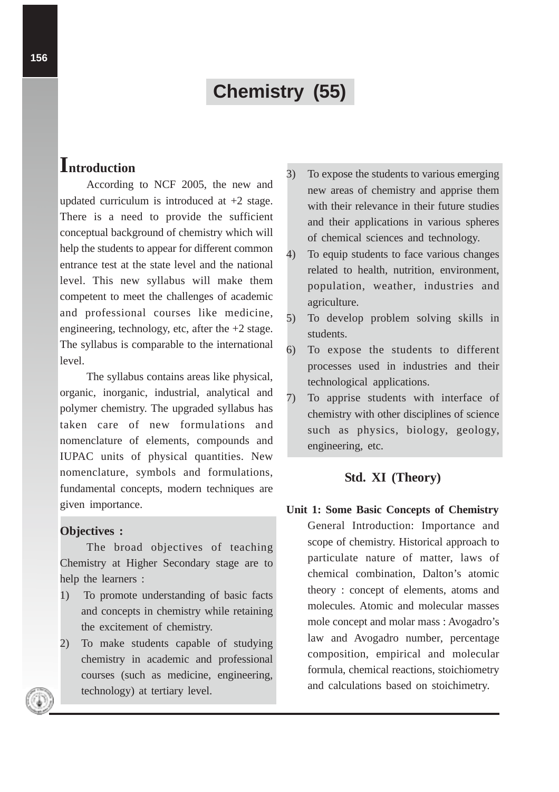# **Chemistry (55)**

## **Introduction**

According to NCF 2005, the new and updated curriculum is introduced at +2 stage. There is a need to provide the sufficient conceptual background of chemistry which will help the students to appear for different common entrance test at the state level and the national level. This new syllabus will make them competent to meet the challenges of academic and professional courses like medicine, engineering, technology, etc, after the  $+2$  stage. The syllabus is comparable to the international level.

The syllabus contains areas like physical, organic, inorganic, industrial, analytical and polymer chemistry. The upgraded syllabus has taken care of new formulations and nomenclature of elements, compounds and IUPAC units of physical quantities. New nomenclature, symbols and formulations, fundamental concepts, modern techniques are given importance.

#### **Objectives :**

The broad objectives of teaching Chemistry at Higher Secondary stage are to help the learners :

- 1) To promote understanding of basic facts and concepts in chemistry while retaining the excitement of chemistry.
- 2) To make students capable of studying chemistry in academic and professional courses (such as medicine, engineering, technology) at tertiary level.
- 3) To expose the students to various emerging new areas of chemistry and apprise them with their relevance in their future studies and their applications in various spheres of chemical sciences and technology.
- 4) To equip students to face various changes related to health, nutrition, environment, population, weather, industries and agriculture.
- 5) To develop problem solving skills in students.
- 6) To expose the students to different processes used in industries and their technological applications.
- 7) To apprise students with interface of chemistry with other disciplines of science such as physics, biology, geology, engineering, etc.

#### **Std. XI (Theory)**

**Unit 1: Some Basic Concepts of Chemistry** General Introduction: Importance and scope of chemistry. Historical approach to particulate nature of matter, laws of chemical combination, Dalton's atomic theory : concept of elements, atoms and molecules. Atomic and molecular masses mole concept and molar mass : Avogadro's law and Avogadro number, percentage composition, empirical and molecular formula, chemical reactions, stoichiometry and calculations based on stoichimetry.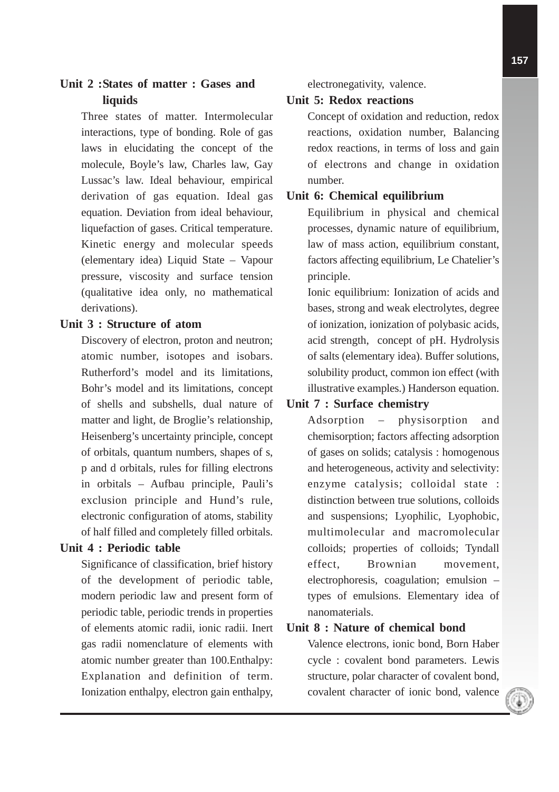## **Unit 2 :States of matter : Gases and liquids**

Three states of matter. Intermolecular interactions, type of bonding. Role of gas laws in elucidating the concept of the molecule, Boyle's law, Charles law, Gay Lussac's law. Ideal behaviour, empirical derivation of gas equation. Ideal gas equation. Deviation from ideal behaviour, liquefaction of gases. Critical temperature. Kinetic energy and molecular speeds (elementary idea) Liquid State – Vapour pressure, viscosity and surface tension (qualitative idea only, no mathematical derivations).

#### **Unit 3 : Structure of atom**

Discovery of electron, proton and neutron; atomic number, isotopes and isobars. Rutherford's model and its limitations, Bohr's model and its limitations, concept of shells and subshells, dual nature of matter and light, de Broglie's relationship, Heisenberg's uncertainty principle, concept of orbitals, quantum numbers, shapes of s, p and d orbitals, rules for filling electrons in orbitals – Aufbau principle, Pauli's exclusion principle and Hund's rule, electronic configuration of atoms, stability of half filled and completely filled orbitals.

#### **Unit 4 : Periodic table**

Significance of classification, brief history of the development of periodic table, modern periodic law and present form of periodic table, periodic trends in properties of elements atomic radii, ionic radii. Inert gas radii nomenclature of elements with atomic number greater than 100.Enthalpy: Explanation and definition of term. Ionization enthalpy, electron gain enthalpy,

electronegativity, valence.

#### **Unit 5: Redox reactions**

Concept of oxidation and reduction, redox reactions, oxidation number, Balancing redox reactions, in terms of loss and gain of electrons and change in oxidation number.

#### **Unit 6: Chemical equilibrium**

Equilibrium in physical and chemical processes, dynamic nature of equilibrium, law of mass action, equilibrium constant, factors affecting equilibrium, Le Chatelier's principle.

Ionic equilibrium: Ionization of acids and bases, strong and weak electrolytes, degree of ionization, ionization of polybasic acids, acid strength, concept of pH. Hydrolysis of salts (elementary idea). Buffer solutions, solubility product, common ion effect (with illustrative examples.) Handerson equation.

## **Unit 7 : Surface chemistry**

Adsorption – physisorption and chemisorption; factors affecting adsorption of gases on solids; catalysis : homogenous and heterogeneous, activity and selectivity: enzyme catalysis; colloidal state : distinction between true solutions, colloids and suspensions; Lyophilic, Lyophobic, multimolecular and macromolecular colloids; properties of colloids; Tyndall effect, Brownian movement, electrophoresis, coagulation; emulsion – types of emulsions. Elementary idea of nanomaterials.

## **Unit 8 : Nature of chemical bond**

Valence electrons, ionic bond, Born Haber cycle : covalent bond parameters. Lewis structure, polar character of covalent bond, covalent character of ionic bond, valence

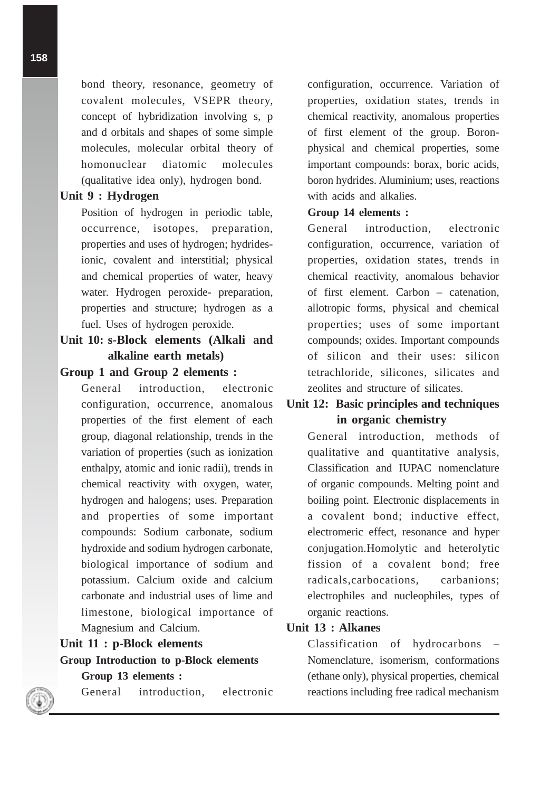bond theory, resonance, geometry of covalent molecules, VSEPR theory, concept of hybridization involving s, p and d orbitals and shapes of some simple molecules, molecular orbital theory of homonuclear diatomic molecules (qualitative idea only), hydrogen bond.

#### **Unit 9 : Hydrogen**

Position of hydrogen in periodic table, occurrence, isotopes, preparation, properties and uses of hydrogen; hydridesionic, covalent and interstitial; physical and chemical properties of water, heavy water. Hydrogen peroxide- preparation, properties and structure; hydrogen as a fuel. Uses of hydrogen peroxide.

## **Unit 10: s-Block elements (Alkali and alkaline earth metals)**

#### **Group 1 and Group 2 elements :**

General introduction, electronic configuration, occurrence, anomalous properties of the first element of each group, diagonal relationship, trends in the variation of properties (such as ionization enthalpy, atomic and ionic radii), trends in chemical reactivity with oxygen, water, hydrogen and halogens; uses. Preparation and properties of some important compounds: Sodium carbonate, sodium hydroxide and sodium hydrogen carbonate, biological importance of sodium and potassium. Calcium oxide and calcium carbonate and industrial uses of lime and limestone, biological importance of Magnesium and Calcium.

#### **Unit 11 : p-Block elements**

#### **Group Introduction to p-Block elements**

**Group 13 elements :**

General introduction, electronic

configuration, occurrence. Variation of properties, oxidation states, trends in chemical reactivity, anomalous properties of first element of the group. Boronphysical and chemical properties, some important compounds: borax, boric acids, boron hydrides. Aluminium; uses, reactions with acids and alkalies.

#### **Group 14 elements :**

General introduction, electronic configuration, occurrence, variation of properties, oxidation states, trends in chemical reactivity, anomalous behavior of first element. Carbon – catenation, allotropic forms, physical and chemical properties; uses of some important compounds; oxides. Important compounds of silicon and their uses: silicon tetrachloride, silicones, silicates and zeolites and structure of silicates.

## **Unit 12: Basic principles and techniques in organic chemistry**

General introduction, methods of qualitative and quantitative analysis, Classification and IUPAC nomenclature of organic compounds. Melting point and boiling point. Electronic displacements in a covalent bond; inductive effect, electromeric effect, resonance and hyper conjugation.Homolytic and heterolytic fission of a covalent bond; free radicals,carbocations, carbanions; electrophiles and nucleophiles, types of organic reactions.

#### **Unit 13 : Alkanes**

Classification of hydrocarbons – Nomenclature, isomerism, conformations (ethane only), physical properties, chemical reactions including free radical mechanism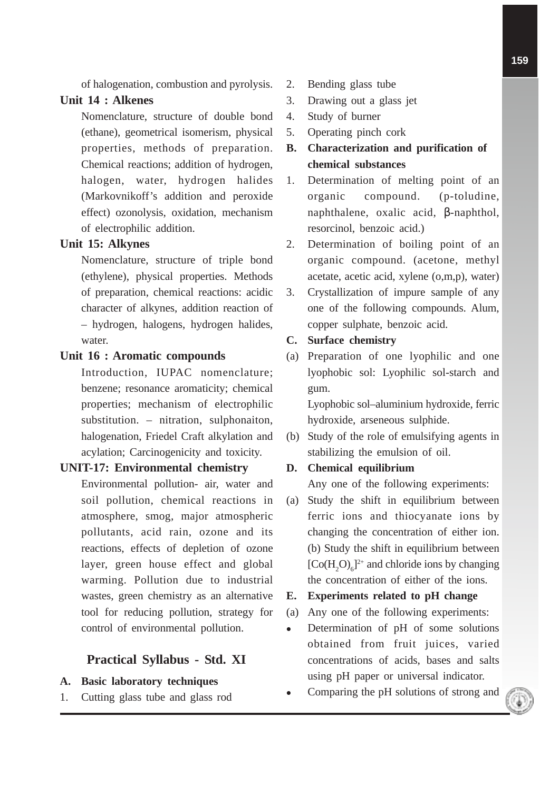of halogenation, combustion and pyrolysis.

## **Unit 14 : Alkenes**

Nomenclature, structure of double bond (ethane), geometrical isomerism, physical properties, methods of preparation. Chemical reactions; addition of hydrogen, halogen, water, hydrogen halides (Markovnikoff's addition and peroxide effect) ozonolysis, oxidation, mechanism of electrophilic addition.

## **Unit 15: Alkynes**

Nomenclature, structure of triple bond (ethylene), physical properties. Methods of preparation, chemical reactions: acidic character of alkynes, addition reaction of – hydrogen, halogens, hydrogen halides, water.

## **Unit 16 : Aromatic compounds**

Introduction, IUPAC nomenclature; benzene; resonance aromaticity; chemical properties; mechanism of electrophilic substitution. – nitration, sulphonaiton, halogenation, Friedel Craft alkylation and acylation; Carcinogenicity and toxicity.

## **UNIT-17: Environmental chemistry**

Environmental pollution- air, water and soil pollution, chemical reactions in atmosphere, smog, major atmospheric pollutants, acid rain, ozone and its reactions, effects of depletion of ozone layer, green house effect and global warming. Pollution due to industrial wastes, green chemistry as an alternative tool for reducing pollution, strategy for control of environmental pollution.

## **Practical Syllabus - Std. XI**

## **A. Basic laboratory techniques**

1. Cutting glass tube and glass rod

- 2. Bending glass tube
- 3. Drawing out a glass jet
- 4. Study of burner
- 5. Operating pinch cork
- **B. Characterization and purification of chemical substances**
- 1. Determination of melting point of an organic compound. (p-toludine, naphthalene, oxalic acid, β-naphthol, resorcinol, benzoic acid.)
- 2. Determination of boiling point of an organic compound. (acetone, methyl acetate, acetic acid, xylene (o,m,p), water)
- 3. Crystallization of impure sample of any one of the following compounds. Alum, copper sulphate, benzoic acid.

#### **C. Surface chemistry**

(a) Preparation of one lyophilic and one lyophobic sol: Lyophilic sol-starch and gum.

> Lyophobic sol–aluminium hydroxide, ferric hydroxide, arseneous sulphide.

(b) Study of the role of emulsifying agents in stabilizing the emulsion of oil.

## **D. Chemical equilibrium**

Any one of the following experiments:

(a) Study the shift in equilibrium between ferric ions and thiocyanate ions by changing the concentration of either ion. (b) Study the shift in equilibrium between  $[Co(H<sub>2</sub>O)<sub>6</sub>]^{2+}$  and chloride ions by changing the concentration of either of the ions.

#### **E. Experiments related to pH change**

- (a) Any one of the following experiments:
- Determination of pH of some solutions obtained from fruit juices, varied concentrations of acids, bases and salts using pH paper or universal indicator.
- Comparing the pH solutions of strong and

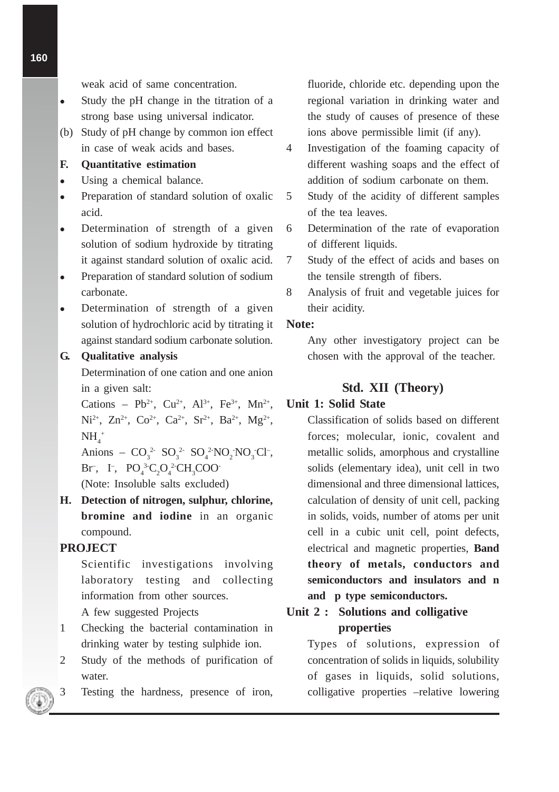weak acid of same concentration.

- Study the pH change in the titration of a strong base using universal indicator.
- (b) Study of pH change by common ion effect in case of weak acids and bases.

## **F. Quantitative estimation**

- Using a chemical balance.
- Preparation of standard solution of oxalic acid.
- Determination of strength of a given solution of sodium hydroxide by titrating it against standard solution of oxalic acid.
- Preparation of standard solution of sodium carbonate.
- Determination of strength of a given solution of hydrochloric acid by titrating it against standard sodium carbonate solution.

#### **G. Qualitative analysis**

Determination of one cation and one anion in a given salt:

Cations – Pb<sup>2+</sup>, Cu<sup>2+</sup>, Al<sup>3+</sup>, Fe<sup>3+</sup>, Mn<sup>2+</sup>, Ni<sup>2+</sup>, Zn<sup>2+</sup>, Co<sup>2+</sup>, Ca<sup>2+</sup>, Sr<sup>2+</sup>, Ba<sup>2+</sup>, Mg<sup>2+</sup>,  $NH_4^+$ 

Anions –  $CO_3^2$   $SO_3^2$   $SO_4^2$   $NO_2$   $NO_3$   $Cl^-$ ,  $\text{Br}^-, \quad \text{I}^-, \quad \text{PO}_4^{3}{}^2\text{C}_2\text{O}_4^{2}{}^2\text{CH}_3\text{COO}^-.$ 

(Note: Insoluble salts excluded)

**H. Detection of nitrogen, sulphur, chlorine, bromine and iodine** in an organic compound.

#### **PROJECT**

Scientific investigations involving laboratory testing and collecting information from other sources.

A few suggested Projects

- 1 Checking the bacterial contamination in drinking water by testing sulphide ion.
- 2 Study of the methods of purification of water.
- 3 Testing the hardness, presence of iron,

fluoride, chloride etc. depending upon the regional variation in drinking water and the study of causes of presence of these ions above permissible limit (if any).

- 4 Investigation of the foaming capacity of different washing soaps and the effect of addition of sodium carbonate on them.
- 5 Study of the acidity of different samples of the tea leaves.
- 6 Determination of the rate of evaporation of different liquids.
- 7 Study of the effect of acids and bases on the tensile strength of fibers.
- 8 Analysis of fruit and vegetable juices for their acidity.

## **Note:**

Any other investigatory project can be chosen with the approval of the teacher.

#### **Std. XII (Theory)**

#### **Unit 1: Solid State**

Classification of solids based on different forces; molecular, ionic, covalent and metallic solids, amorphous and crystalline solids (elementary idea), unit cell in two dimensional and three dimensional lattices, calculation of density of unit cell, packing in solids, voids, number of atoms per unit cell in a cubic unit cell, point defects, electrical and magnetic properties, **Band theory of metals, conductors and semiconductors and insulators and n and p type semiconductors.**

## **Unit 2 : Solutions and colligative properties**

Types of solutions, expression of concentration of solids in liquids, solubility of gases in liquids, solid solutions, colligative properties –relative lowering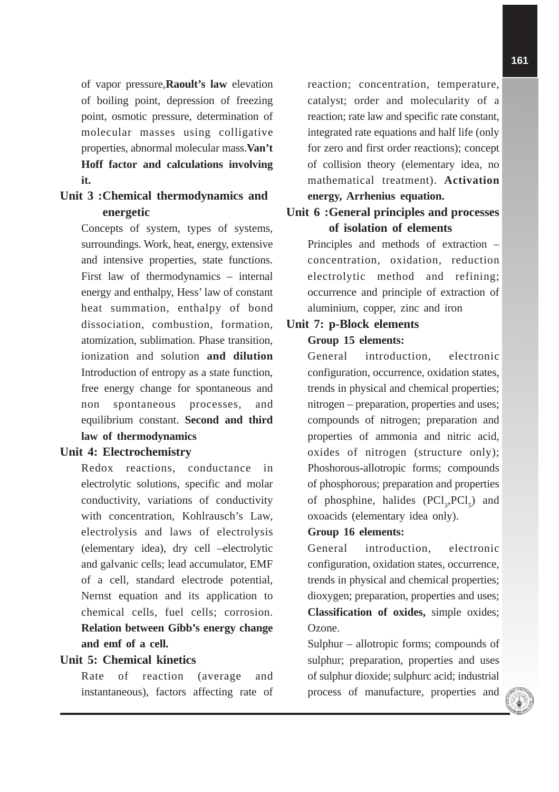of vapor pressure,**Raoult's law** elevation of boiling point, depression of freezing point, osmotic pressure, determination of molecular masses using colligative properties, abnormal molecular mass.**Van't Hoff factor and calculations involving it.**

## **Unit 3 :Chemical thermodynamics and energetic**

Concepts of system, types of systems, surroundings. Work, heat, energy, extensive and intensive properties, state functions. First law of thermodynamics – internal energy and enthalpy, Hess' law of constant heat summation, enthalpy of bond dissociation, combustion, formation, atomization, sublimation. Phase transition, ionization and solution **and dilution** Introduction of entropy as a state function, free energy change for spontaneous and non spontaneous processes, and equilibrium constant. **Second and third law of thermodynamics**

#### **Unit 4: Electrochemistry**

Redox reactions, conductance in electrolytic solutions, specific and molar conductivity, variations of conductivity with concentration, Kohlrausch's Law, electrolysis and laws of electrolysis (elementary idea), dry cell –electrolytic and galvanic cells; lead accumulator, EMF of a cell, standard electrode potential, Nernst equation and its application to chemical cells, fuel cells; corrosion. **Relation between Gibb's energy change and emf of a cell.**

## **Unit 5: Chemical kinetics**

Rate of reaction (average and instantaneous), factors affecting rate of reaction; concentration, temperature, catalyst; order and molecularity of a reaction; rate law and specific rate constant, integrated rate equations and half life (only for zero and first order reactions); concept of collision theory (elementary idea, no mathematical treatment). **Activation energy, Arrhenius equation.**

## **Unit 6 :General principles and processes of isolation of elements**

Principles and methods of extraction – concentration, oxidation, reduction electrolytic method and refining; occurrence and principle of extraction of aluminium, copper, zinc and iron

## **Unit 7: p-Block elements**

## **Group 15 elements:**

General introduction, electronic configuration, occurrence, oxidation states, trends in physical and chemical properties; nitrogen – preparation, properties and uses; compounds of nitrogen; preparation and properties of ammonia and nitric acid, oxides of nitrogen (structure only); Phoshorous-allotropic forms; compounds of phosphorous; preparation and properties of phosphine, halides  $(PCl<sub>3</sub>, PCl<sub>5</sub>)$  and oxoacids (elementary idea only).

#### **Group 16 elements:**

General introduction, electronic configuration, oxidation states, occurrence, trends in physical and chemical properties; dioxygen; preparation, properties and uses; **Classification of oxides,** simple oxides; Ozone.

Sulphur – allotropic forms; compounds of sulphur; preparation, properties and uses of sulphur dioxide; sulphurc acid; industrial process of manufacture, properties and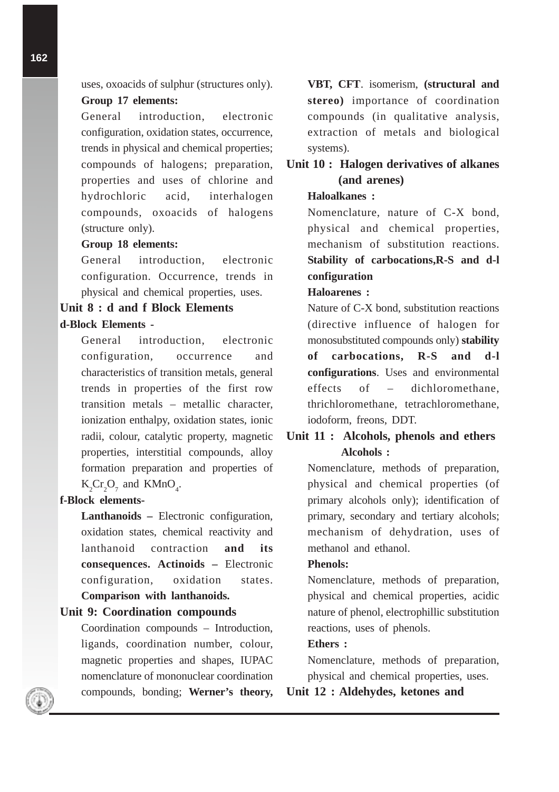uses, oxoacids of sulphur (structures only).

#### **Group 17 elements:**

General introduction, electronic configuration, oxidation states, occurrence, trends in physical and chemical properties; compounds of halogens; preparation, properties and uses of chlorine and hydrochloric acid, interhalogen compounds, oxoacids of halogens (structure only).

## **Group 18 elements:**

General introduction, electronic configuration. Occurrence, trends in physical and chemical properties, uses.

## **Unit 8 : d and f Block Elements d-Block Elements -**

General introduction, electronic configuration, occurrence and characteristics of transition metals, general trends in properties of the first row transition metals – metallic character, ionization enthalpy, oxidation states, ionic radii, colour, catalytic property, magnetic properties, interstitial compounds, alloy formation preparation and properties of  $K_2Cr_2O_7$  and  $KMD_4$ .

#### **f-Block elements-**

**Lanthanoids –** Electronic configuration, oxidation states, chemical reactivity and lanthanoid contraction **and its consequences. Actinoids –** Electronic configuration, oxidation states. **Comparison with lanthanoids.**

#### **Unit 9: Coordination compounds**

Coordination compounds – Introduction, ligands, coordination number, colour, magnetic properties and shapes, IUPAC nomenclature of mononuclear coordination compounds, bonding; **Werner's theory,** **VBT, CFT**. isomerism, **(structural and stereo)** importance of coordination compounds (in qualitative analysis, extraction of metals and biological systems).

## **Unit 10 : Halogen derivatives of alkanes (and arenes)**

#### **Haloalkanes :**

Nomenclature, nature of C-X bond, physical and chemical properties, mechanism of substitution reactions. **Stability of carbocations,R-S and d-l configuration**

#### **Haloarenes :**

Nature of C-X bond, substitution reactions (directive influence of halogen for monosubstituted compounds only) **stability of carbocations, R-S and d-l configurations**. Uses and environmental effects of – dichloromethane, thrichloromethane, tetrachloromethane, iodoform, freons, DDT.

## **Unit 11 : Alcohols, phenols and ethers Alcohols :**

Nomenclature, methods of preparation, physical and chemical properties (of primary alcohols only); identification of primary, secondary and tertiary alcohols; mechanism of dehydration, uses of methanol and ethanol.

#### **Phenols:**

Nomenclature, methods of preparation, physical and chemical properties, acidic nature of phenol, electrophillic substitution reactions, uses of phenols.

#### **Ethers :**

Nomenclature, methods of preparation, physical and chemical properties, uses.

**Unit 12 : Aldehydes, ketones and**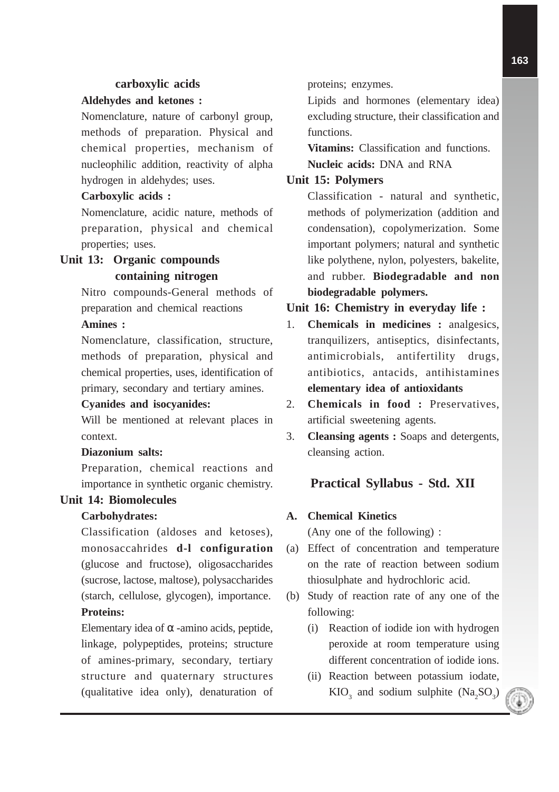#### **carboxylic acids**

#### **Aldehydes and ketones :**

Nomenclature, nature of carbonyl group, methods of preparation. Physical and chemical properties, mechanism of nucleophilic addition, reactivity of alpha hydrogen in aldehydes; uses.

#### **Carboxylic acids :**

Nomenclature, acidic nature, methods of preparation, physical and chemical properties; uses.

## **Unit 13: Organic compounds containing nitrogen**

Nitro compounds-General methods of preparation and chemical reactions

## **Amines :**

Nomenclature, classification, structure, methods of preparation, physical and chemical properties, uses, identification of primary, secondary and tertiary amines.

#### **Cyanides and isocyanides:**

Will be mentioned at relevant places in context.

#### **Diazonium salts:**

Preparation, chemical reactions and importance in synthetic organic chemistry.

#### **Unit 14: Biomolecules**

#### **Carbohydrates:**

Classification (aldoses and ketoses), monosaccahrides **d-l configuration** (glucose and fructose), oligosaccharides (sucrose, lactose, maltose), polysaccharides (starch, cellulose, glycogen), importance. **Proteins:**

Elementary idea of  $\alpha$  -amino acids, peptide, linkage, polypeptides, proteins; structure of amines-primary, secondary, tertiary structure and quaternary structures (qualitative idea only), denaturation of proteins; enzymes.

Lipids and hormones (elementary idea) excluding structure, their classification and functions.

**Vitamins:** Classification and functions. **Nucleic acids:** DNA and RNA

#### **Unit 15: Polymers**

Classification - natural and synthetic, methods of polymerization (addition and condensation), copolymerization. Some important polymers; natural and synthetic like polythene, nylon, polyesters, bakelite, and rubber. **Biodegradable and non biodegradable polymers.**

#### **Unit 16: Chemistry in everyday life :**

- 1. **Chemicals in medicines :** analgesics, tranquilizers, antiseptics, disinfectants, antimicrobials, antifertility drugs, antibiotics, antacids, antihistamines **elementary idea of antioxidants**
- 2. **Chemicals in food :** Preservatives, artificial sweetening agents.
- 3. **Cleansing agents :** Soaps and detergents, cleansing action.

#### **Practical Syllabus - Std. XII**

#### **A. Chemical Kinetics**

(Any one of the following) :

- (a) Effect of concentration and temperature on the rate of reaction between sodium thiosulphate and hydrochloric acid.
- (b) Study of reaction rate of any one of the following:
	- (i) Reaction of iodide ion with hydrogen peroxide at room temperature using different concentration of iodide ions.
	- (ii) Reaction between potassium iodate,  $KIO_3$  and sodium sulphite  $(Na_2SO_3)$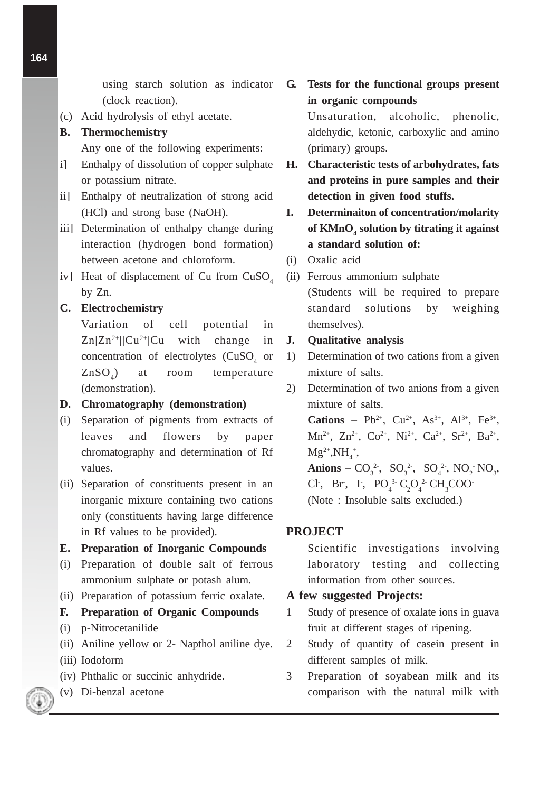using starch solution as indicator (clock reaction).

(c) Acid hydrolysis of ethyl acetate.

## **B. Thermochemistry**

Any one of the following experiments:

- i] Enthalpy of dissolution of copper sulphate or potassium nitrate.
- ii] Enthalpy of neutralization of strong acid (HCl) and strong base (NaOH).
- iii] Determination of enthalpy change during interaction (hydrogen bond formation) between acetone and chloroform.
- iv] Heat of displacement of Cu from  $CuSO<sub>4</sub>$ by Zn.

## **C. Electrochemistry**

Variation of cell potential in  $Zn|Zn^{2+}||Cu^{2+}|Cu$  with change in concentration of electrolytes  $(CuSO<sub>4</sub>$  or  $ZnSO<sub>4</sub>$ ) ) at room temperature (demonstration).

## **D. Chromatography (demonstration)**

- (i) Separation of pigments from extracts of leaves and flowers by paper chromatography and determination of Rf values.
- (ii) Separation of constituents present in an inorganic mixture containing two cations only (constituents having large difference in Rf values to be provided).

## **E. Preparation of Inorganic Compounds**

- (i) Preparation of double salt of ferrous ammonium sulphate or potash alum.
- (ii) Preparation of potassium ferric oxalate.

## **F. Preparation of Organic Compounds**

- (i) p-Nitrocetanilide
- (ii) Aniline yellow or 2- Napthol aniline dye.
- (iii) Iodoform
- (iv) Phthalic or succinic anhydride.
- (v) Di-benzal acetone

**G. Tests for the functional groups present in organic compounds**

> Unsaturation, alcoholic, phenolic, aldehydic, ketonic, carboxylic and amino (primary) groups.

- **H. Characteristic tests of arbohydrates, fats and proteins in pure samples and their detection in given food stuffs.**
- **I. Determinaiton of concentration/molarity of KMnO4 solution by titrating it against a standard solution of:**
- (i) Oxalic acid
- (ii) Ferrous ammonium sulphate (Students will be required to prepare standard solutions by weighing themselves).

## **J. Qualitative analysis**

- 1) Determination of two cations from a given mixture of salts.
- 2) Determination of two anions from a given mixture of salts.

**Cations – Pb<sup>2+</sup>, Cu<sup>2+</sup>, As<sup>3+</sup>, Al<sup>3+</sup>, Fe<sup>3+</sup>,** Mn<sup>2+</sup>, Zn<sup>2+</sup>, Co<sup>2+</sup>, Ni<sup>2+</sup>, Ca<sup>2+</sup>, Sr<sup>2+</sup>, Ba<sup>2+</sup>,  $Mg^{2+}, NH_4^+,$ **Anions** –  $CO_3^2$ ,  $SO_3^2$ ,  $SO_4^2$ ,  $NO_2$   $NO_3$ , Cl<sup>-</sup>, Br<sup>-</sup>, I<sup>-</sup>, PO<sub>4</sub><sup>3</sup>- C<sub>2</sub>O<sub>4</sub><sup>2</sup>- CH<sub>3</sub>COO<sup>-</sup>

(Note : Insoluble salts excluded.)

## **PROJECT**

Scientific investigations involving laboratory testing and collecting information from other sources.

## **A few suggested Projects:**

- 1 Study of presence of oxalate ions in guava fruit at different stages of ripening.
- 2 Study of quantity of casein present in different samples of milk.
- 3 Preparation of soyabean milk and its comparison with the natural milk with